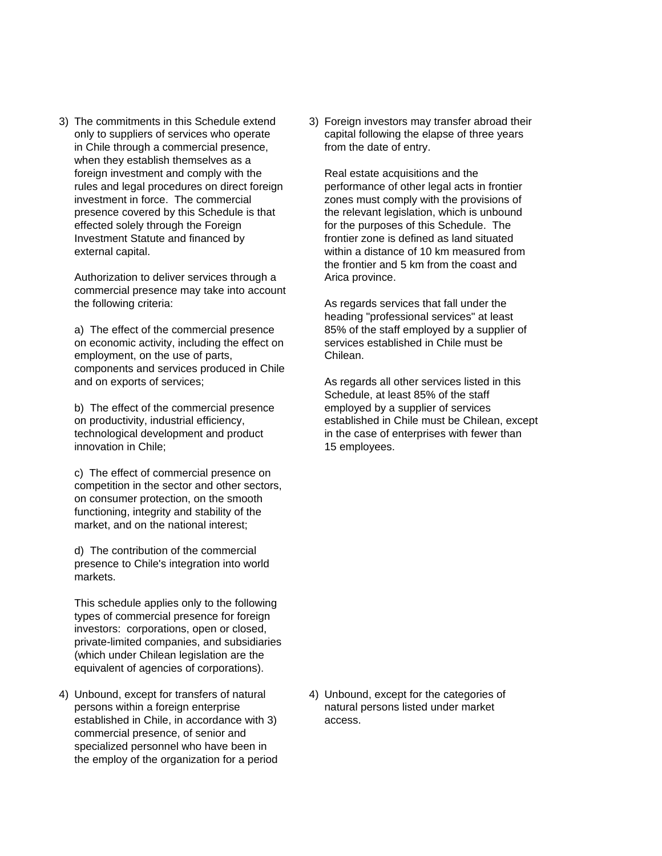3) The commitments in this Schedule extend 3) Foreign investors may transfer abroad their in Chile through a commercial presence, from the date of entry. when they establish themselves as a foreign investment and comply with the Real estate acquisitions and the rules and legal procedures on direct foreign performance of other legal acts in frontier investment in force. The commercial zones must comply with the provisions of presence covered by this Schedule is that the relevant legislation, which is unbound effected solely through the Foreign for the purposes of this Schedule. The Investment Statute and financed by frontier zone is defined as land situated external capital. within a distance of 10 km measured from

Authorization to deliver services through a Arica province. commercial presence may take into account the following criteria: As regards services that fall under the

on economic activity, including the effect on services established in Chile must be employment, on the use of parts, entitled and chilean. components and services produced in Chile and on exports of services; As regards all other services listed in this

b) The effect of the commercial presence employed by a supplier of services technological development and product in the case of enterprises with fewer than innovation in Chile; 15 employees.

c) The effect of commercial presence on competition in the sector and other sectors, on consumer protection, on the smooth functioning, integrity and stability of the market, and on the national interest;

d) The contribution of the commercial presence to Chile's integration into world markets.

This schedule applies only to the following types of commercial presence for foreign investors: corporations, open or closed, private-limited companies, and subsidiaries (which under Chilean legislation are the equivalent of agencies of corporations).

4) Unbound, except for transfers of natural 4) Unbound, except for the categories of persons within a foreign enterprise natural persons listed under market established in Chile, in accordance with 3) access. commercial presence, of senior and specialized personnel who have been in the employ of the organization for a period

only to suppliers of services who operate capital following the elapse of three years

the frontier and 5 km from the coast and

heading "professional services" at least a) The effect of the commercial presence 85% of the staff employed by a supplier of

Schedule, at least 85% of the staff on productivity, industrial efficiency, established in Chile must be Chilean, except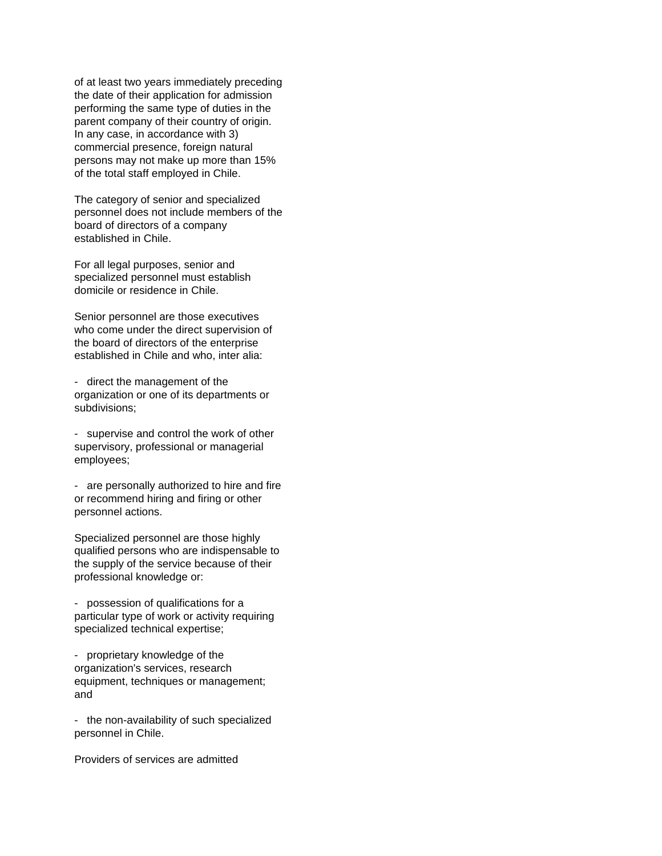of at least two years immediately preceding the date of their application for admission performing the same type of duties in the parent company of their country of origin. In any case, in accordance with 3) commercial presence, foreign natural persons may not make up more than 15% of the total staff employed in Chile.

The category of senior and specialized personnel does not include members of the board of directors of a company established in Chile.

For all legal purposes, senior and specialized personnel must establish domicile or residence in Chile.

Senior personnel are those executives who come under the direct supervision of the board of directors of the enterprise established in Chile and who, inter alia:

- direct the management of the organization or one of its departments or subdivisions;

- supervise and control the work of other supervisory, professional or managerial employees;

- are personally authorized to hire and fire or recommend hiring and firing or other personnel actions.

Specialized personnel are those highly qualified persons who are indispensable to the supply of the service because of their professional knowledge or:

- possession of qualifications for a particular type of work or activity requiring specialized technical expertise;

- proprietary knowledge of the organization's services, research equipment, techniques or management; and

- the non-availability of such specialized personnel in Chile.

Providers of services are admitted